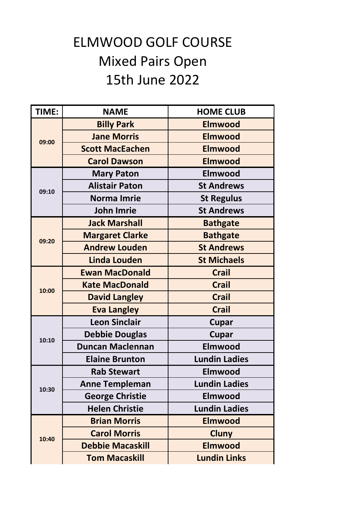## ELMWOOD GOLF COURSE Mixed Pairs Open 15th June 2022

| TIME: | <b>NAME</b>             | <b>HOME CLUB</b>     |
|-------|-------------------------|----------------------|
| 09:00 | <b>Billy Park</b>       | <b>Elmwood</b>       |
|       | <b>Jane Morris</b>      | <b>Elmwood</b>       |
|       | <b>Scott MacEachen</b>  | <b>Elmwood</b>       |
|       | <b>Carol Dawson</b>     | <b>Elmwood</b>       |
| 09:10 | <b>Mary Paton</b>       | <b>Elmwood</b>       |
|       | <b>Alistair Paton</b>   | <b>St Andrews</b>    |
|       | <b>Norma Imrie</b>      | <b>St Regulus</b>    |
|       | <b>John Imrie</b>       | <b>St Andrews</b>    |
|       | <b>Jack Marshall</b>    | <b>Bathgate</b>      |
| 09:20 | <b>Margaret Clarke</b>  | <b>Bathgate</b>      |
|       | <b>Andrew Louden</b>    | <b>St Andrews</b>    |
|       | <b>Linda Louden</b>     | <b>St Michaels</b>   |
|       | <b>Ewan MacDonald</b>   | <b>Crail</b>         |
| 10:00 | <b>Kate MacDonald</b>   | <b>Crail</b>         |
|       | <b>David Langley</b>    | <b>Crail</b>         |
|       | <b>Eva Langley</b>      | <b>Crail</b>         |
|       | <b>Leon Sinclair</b>    | <b>Cupar</b>         |
| 10:10 | <b>Debbie Douglas</b>   | <b>Cupar</b>         |
|       | <b>Duncan Maclennan</b> | <b>Elmwood</b>       |
|       | <b>Elaine Brunton</b>   | <b>Lundin Ladies</b> |
|       | <b>Rab Stewart</b>      | <b>Elmwood</b>       |
| 10:30 | <b>Anne Templeman</b>   | <b>Lundin Ladies</b> |
|       | <b>George Christie</b>  | Elmwood              |
|       | <b>Helen Christie</b>   | <b>Lundin Ladies</b> |
| 10:40 | <b>Brian Morris</b>     | <b>Elmwood</b>       |
|       | <b>Carol Morris</b>     | <b>Cluny</b>         |
|       | <b>Debbie Macaskill</b> | <b>Elmwood</b>       |
|       | <b>Tom Macaskill</b>    | <b>Lundin Links</b>  |